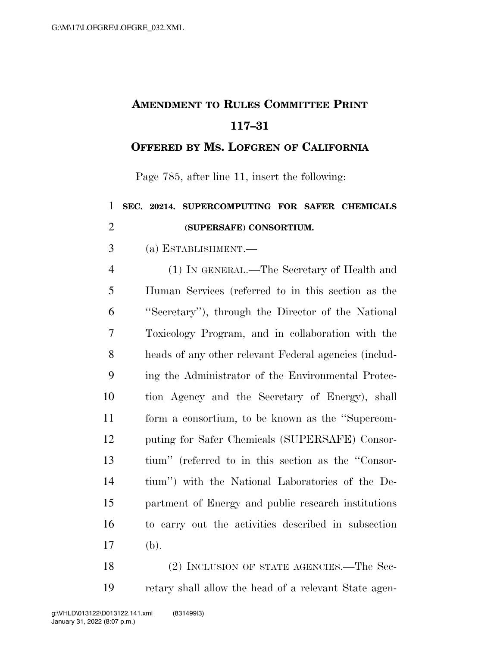## **AMENDMENT TO RULES COMMITTEE PRINT 117–31**

## **OFFERED BY MS. LOFGREN OF CALIFORNIA**

Page 785, after line 11, insert the following:

## **SEC. 20214. SUPERCOMPUTING FOR SAFER CHEMICALS (SUPERSAFE) CONSORTIUM.**

(a) ESTABLISHMENT.—

 (1) IN GENERAL.—The Secretary of Health and Human Services (referred to in this section as the ''Secretary''), through the Director of the National Toxicology Program, and in collaboration with the heads of any other relevant Federal agencies (includ- ing the Administrator of the Environmental Protec- tion Agency and the Secretary of Energy), shall form a consortium, to be known as the ''Supercom- puting for Safer Chemicals (SUPERSAFE) Consor- tium'' (referred to in this section as the ''Consor- tium'') with the National Laboratories of the De- partment of Energy and public research institutions to carry out the activities described in subsection (b).

18 (2) INCLUSION OF STATE AGENCIES.—The Sec-retary shall allow the head of a relevant State agen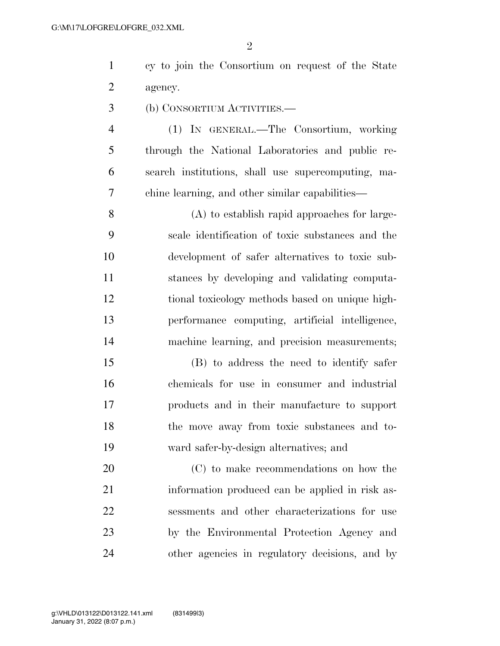$\mathfrak{D}$ 

 cy to join the Consortium on request of the State agency.

(b) CONSORTIUM ACTIVITIES.—

 (1) IN GENERAL.—The Consortium, working through the National Laboratories and public re- search institutions, shall use supercomputing, ma-chine learning, and other similar capabilities—

 (A) to establish rapid approaches for large- scale identification of toxic substances and the development of safer alternatives to toxic sub- stances by developing and validating computa- tional toxicology methods based on unique high- performance computing, artificial intelligence, machine learning, and precision measurements;

 (B) to address the need to identify safer chemicals for use in consumer and industrial products and in their manufacture to support the move away from toxic substances and to-ward safer-by-design alternatives; and

 (C) to make recommendations on how the information produced can be applied in risk as- sessments and other characterizations for use by the Environmental Protection Agency and other agencies in regulatory decisions, and by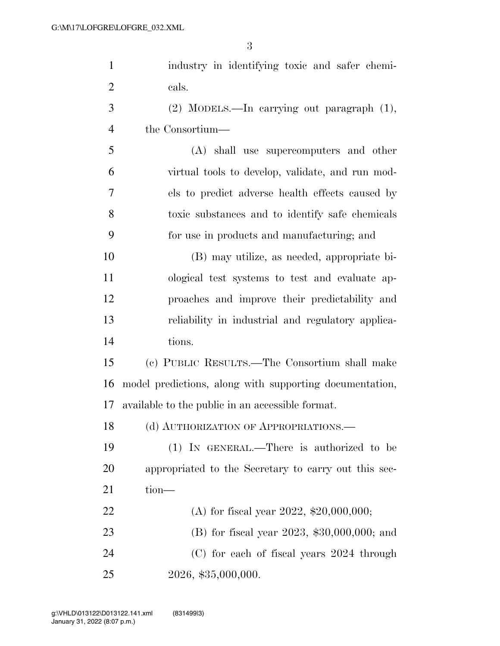| $\mathbf{1}$   | industry in identifying toxic and safer chemi-          |
|----------------|---------------------------------------------------------|
| $\overline{2}$ | cals.                                                   |
| 3              | $(2)$ MODELS.—In carrying out paragraph $(1)$ ,         |
| $\overline{4}$ | the Consortium—                                         |
| 5              | (A) shall use supercomputers and other                  |
| 6              | virtual tools to develop, validate, and run mod-        |
| 7              | els to predict adverse health effects caused by         |
| 8              | toxic substances and to identify safe chemicals         |
| 9              | for use in products and manufacturing; and              |
| 10             | (B) may utilize, as needed, appropriate bi-             |
| 11             | ological test systems to test and evaluate ap-          |
| 12             | proaches and improve their predictability and           |
| 13             | reliability in industrial and regulatory applica-       |
| 14             | tions.                                                  |
| 15             | (c) PUBLIC RESULTS.—The Consortium shall make           |
| 16             | model predictions, along with supporting documentation, |
| 17             | available to the public in an accessible format.        |
|                | 18 (d) AUTHORIZATION OF APPROPRIATIONS.                 |
| 19             | $(1)$ IN GENERAL.—There is authorized to be             |
| 20             | appropriated to the Secretary to carry out this sec-    |
| 21             | $tion-$                                                 |
| 22             | (A) for fiscal year 2022, \$20,000,000;                 |
| 23             | (B) for fiscal year 2023, $$30,000,000$ ; and           |
| 24             | (C) for each of fiscal years 2024 through               |
| 25             | 2026, \$35,000,000.                                     |